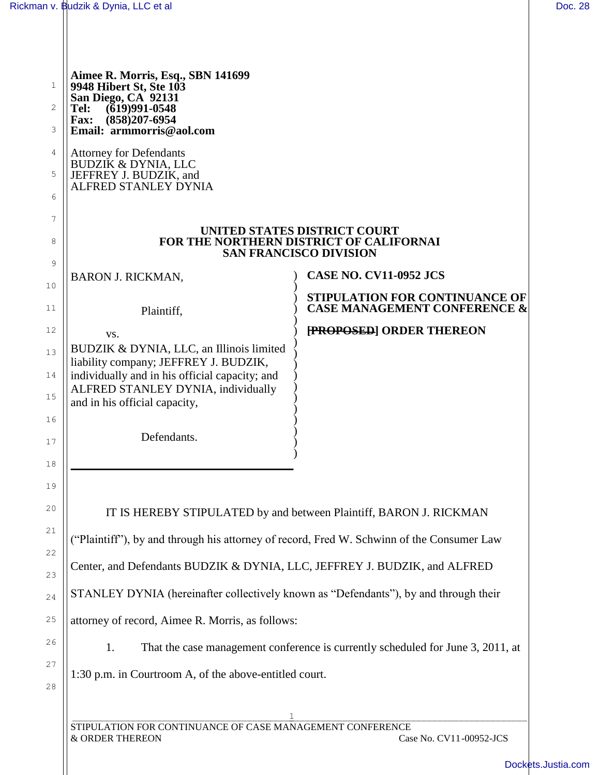| Rickman v. Budzik & Dynia, LLC et al                                                                                  |                                                                                                          |
|-----------------------------------------------------------------------------------------------------------------------|----------------------------------------------------------------------------------------------------------|
| Aimee R. Morris, Esq., SBN 141699<br>9948 Hibert St, Ste 103                                                          |                                                                                                          |
| San Diego, CA 92131<br>$(619)991 - 0548$<br>Tel:<br>$(858)207 - 6954$<br><b>Fax:</b><br>Email: armmorris@aol.com      |                                                                                                          |
| <b>Attorney for Defendants</b><br>BUDZIK & DYNIA, LLC<br>JEFFREY J. BUDZIK, and<br>ALFRED STANLEY DYNIA               |                                                                                                          |
|                                                                                                                       |                                                                                                          |
|                                                                                                                       | UNITED STATES DISTRICT COURT<br>FOR THE NORTHERN DISTRICT OF CALIFORNAI<br><b>SAN FRANCISCO DIVISION</b> |
| <b>BARON J. RICKMAN,</b>                                                                                              | <b>CASE NO. CV11-0952 JCS</b>                                                                            |
| Plaintiff,                                                                                                            | STIPULATION FOR CONTINUANCE OF<br><b>CASE MANAGEMENT CONFERENCE &amp;</b>                                |
| VS.                                                                                                                   | <b>FROPOSED ORDER THEREON</b>                                                                            |
| BUDZIK & DYNIA, LLC, an Illinois limited<br>liability company; JEFFREY J. BUDZIK,                                     |                                                                                                          |
| individually and in his official capacity; and<br>ALFRED STANLEY DYNIA, individually<br>and in his official capacity, |                                                                                                          |
| Defendants.                                                                                                           |                                                                                                          |
|                                                                                                                       |                                                                                                          |
|                                                                                                                       | IT IS HEREBY STIPULATED by and between Plaintiff, BARON J. RICKMAN                                       |
| "Plaintiff"), by and through his attorney of record, Fred W. Schwinn of the Consumer Law                              |                                                                                                          |
| Center, and Defendants BUDZIK & DYNIA, LLC, JEFFREY J. BUDZIK, and ALFRED                                             |                                                                                                          |
| STANLEY DYNIA (hereinafter collectively known as "Defendants"), by and through their                                  |                                                                                                          |
| attorney of record, Aimee R. Morris, as follows:                                                                      |                                                                                                          |
| 1.                                                                                                                    | That the case management conference is currently scheduled for June 3, 2011, at                          |
| 1:30 p.m. in Courtroom A, of the above-entitled court.                                                                |                                                                                                          |
|                                                                                                                       |                                                                                                          |